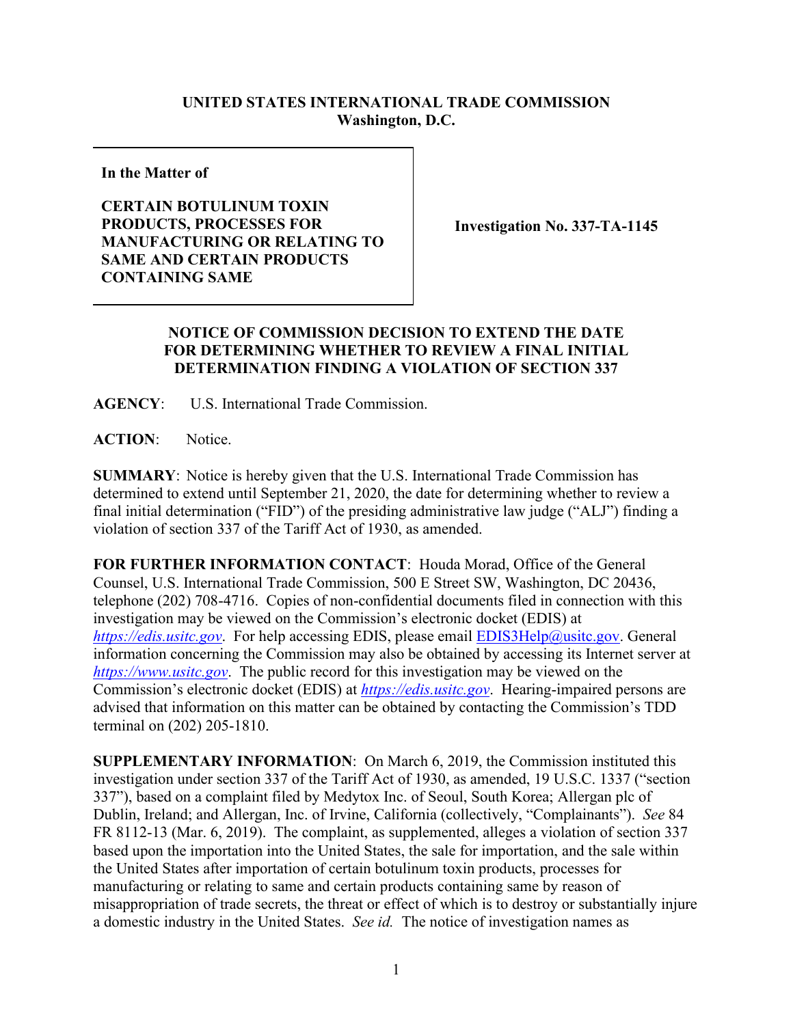## **UNITED STATES INTERNATIONAL TRADE COMMISSION Washington, D.C.**

**In the Matter of**

## **CERTAIN BOTULINUM TOXIN PRODUCTS, PROCESSES FOR MANUFACTURING OR RELATING TO SAME AND CERTAIN PRODUCTS CONTAINING SAME**

**Investigation No. 337-TA-1145**

## **NOTICE OF COMMISSION DECISION TO EXTEND THE DATE FOR DETERMINING WHETHER TO REVIEW A FINAL INITIAL DETERMINATION FINDING A VIOLATION OF SECTION 337**

**AGENCY**: U.S. International Trade Commission.

**ACTION**: Notice.

**SUMMARY**: Notice is hereby given that the U.S. International Trade Commission has determined to extend until September 21, 2020, the date for determining whether to review a final initial determination ("FID") of the presiding administrative law judge ("ALJ") finding a violation of section 337 of the Tariff Act of 1930, as amended.

**FOR FURTHER INFORMATION CONTACT**: Houda Morad, Office of the General Counsel, U.S. International Trade Commission, 500 E Street SW, Washington, DC 20436, telephone (202) 708-4716. Copies of non-confidential documents filed in connection with this investigation may be viewed on the Commission's electronic docket (EDIS) at *[https://edis.usitc.gov](https://edis.usitc.gov/)*. For help accessing EDIS, please email [EDIS3Help@usitc.gov.](mailto:EDIS3Help@usitc.gov) General information concerning the Commission may also be obtained by accessing its Internet server at *[https://www.usitc.gov](https://www.usitc.gov/)*. The public record for this investigation may be viewed on the Commission's electronic docket (EDIS) at *[https://edis.usitc.gov](https://edis.usitc.gov/)*. Hearing-impaired persons are advised that information on this matter can be obtained by contacting the Commission's TDD terminal on (202) 205-1810.

**SUPPLEMENTARY INFORMATION**: On March 6, 2019, the Commission instituted this investigation under section 337 of the Tariff Act of 1930, as amended, 19 U.S.C. 1337 ("section 337"), based on a complaint filed by Medytox Inc. of Seoul, South Korea; Allergan plc of Dublin, Ireland; and Allergan, Inc. of Irvine, California (collectively, "Complainants"). *See* 84 FR 8112-13 (Mar. 6, 2019). The complaint, as supplemented, alleges a violation of section 337 based upon the importation into the United States, the sale for importation, and the sale within the United States after importation of certain botulinum toxin products, processes for manufacturing or relating to same and certain products containing same by reason of misappropriation of trade secrets, the threat or effect of which is to destroy or substantially injure a domestic industry in the United States. *See id.* The notice of investigation names as